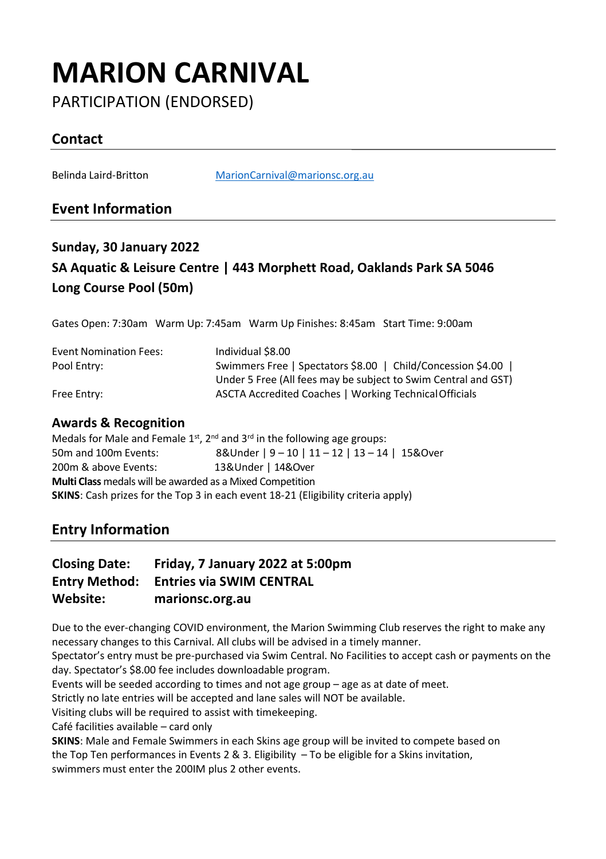# **MARION CARNIVAL**

PARTICIPATION (ENDORSED)

## **Contact**

Belinda Laird-Britton [MarionCarnival@marionsc.org.au](mailto:MarionCarnival@marionsc.org.au)

### **Event Information**

## **Sunday, 30 January 2022 SA Aquatic & Leisure Centre | 443 Morphett Road, Oaklands Park SA 5046 Long Course Pool (50m)**

Gates Open: 7:30am Warm Up: 7:45am Warm Up Finishes: 8:45am Start Time: 9:00am

| <b>Event Nomination Fees:</b> | Individual \$8.00                                              |
|-------------------------------|----------------------------------------------------------------|
| Pool Entry:                   | Swimmers Free   Spectators \$8.00   Child/Concession \$4.00    |
|                               | Under 5 Free (All fees may be subject to Swim Central and GST) |
| Free Entry:                   | ASCTA Accredited Coaches   Working Technical Officials         |

#### **Awards & Recognition**

Medals for Male and Female  $1^{st}$ ,  $2^{nd}$  and  $3^{rd}$  in the following age groups: 50m and 100m Events: 8&Under | 9 – 10 | 11 – 12 | 13 – 14 | 15&Over 200m & above Events: 13&Under | 14&Over **Multi Class** medals will be awarded as a Mixed Competition **SKINS**: Cash prizes for the Top 3 in each event 18-21 (Eligibility criteria apply)

### **Entry Information**

#### **Closing Date: Friday, 7 January 2022 at 5:00pm Entry Method: Entries via SWIM CENTRAL Website: marionsc.org.au**

Due to the ever-changing COVID environment, the Marion Swimming Club reserves the right to make any necessary changes to this Carnival. All clubs will be advised in a timely manner.

Spectator's entry must be pre-purchased via Swim Central. No Facilities to accept cash or payments on the day. Spectator's \$8.00 fee includes downloadable program.

Events will be seeded according to times and not age group – age as at date of meet.

Strictly no late entries will be accepted and lane sales will NOT be available.

Visiting clubs will be required to assist with timekeeping.

Café facilities available – card only

**SKINS**: Male and Female Swimmers in each Skins age group will be invited to compete based on the Top Ten performances in Events 2 & 3. Eligibility – To be eligible for a Skins invitation, swimmers must enter the 200IM plus 2 other events.